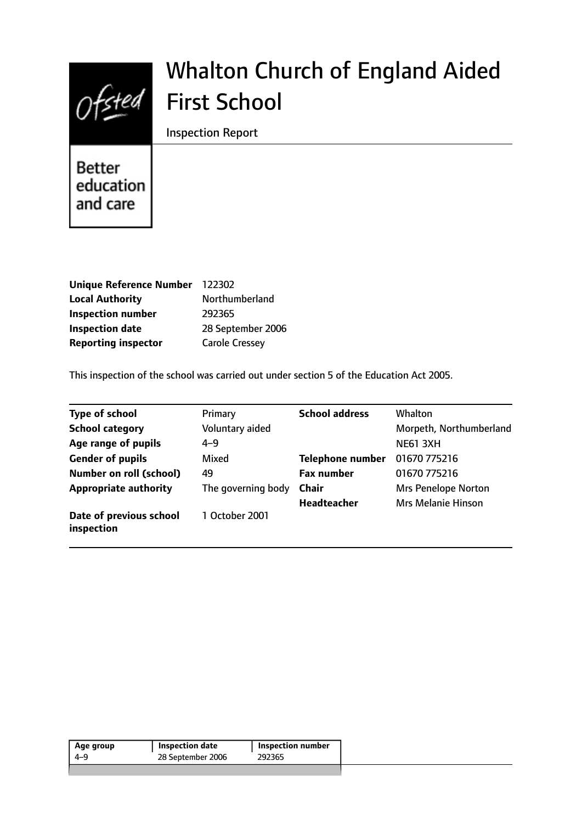

# Whalton Church of England Aided First School

Inspection Report

**Better** education and care

| Unique Reference Number 122302 |                       |
|--------------------------------|-----------------------|
| <b>Local Authority</b>         | Northumberland        |
| <b>Inspection number</b>       | 292365                |
| <b>Inspection date</b>         | 28 September 2006     |
| <b>Reporting inspector</b>     | <b>Carole Cressey</b> |

This inspection of the school was carried out under section 5 of the Education Act 2005.

| Type of school                        | Primary            | <b>School address</b>   | <b>Whalton</b>             |
|---------------------------------------|--------------------|-------------------------|----------------------------|
| <b>School category</b>                | Voluntary aided    |                         | Morpeth, Northumberland    |
| Age range of pupils                   | $4 - 9$            |                         | <b>NE61 3XH</b>            |
| <b>Gender of pupils</b>               | Mixed              | <b>Telephone number</b> | 01670 775216               |
| <b>Number on roll (school)</b>        | 49                 | <b>Fax number</b>       | 01670 775216               |
| <b>Appropriate authority</b>          | The governing body | <b>Chair</b>            | <b>Mrs Penelope Norton</b> |
|                                       |                    | <b>Headteacher</b>      | <b>Mrs Melanie Hinson</b>  |
| Date of previous school<br>inspection | 1 October 2001     |                         |                            |

| Age group | Inspection date   | <b>Inspection number</b> |
|-----------|-------------------|--------------------------|
| 4-9       | 28 September 2006 | 292365                   |
|           |                   |                          |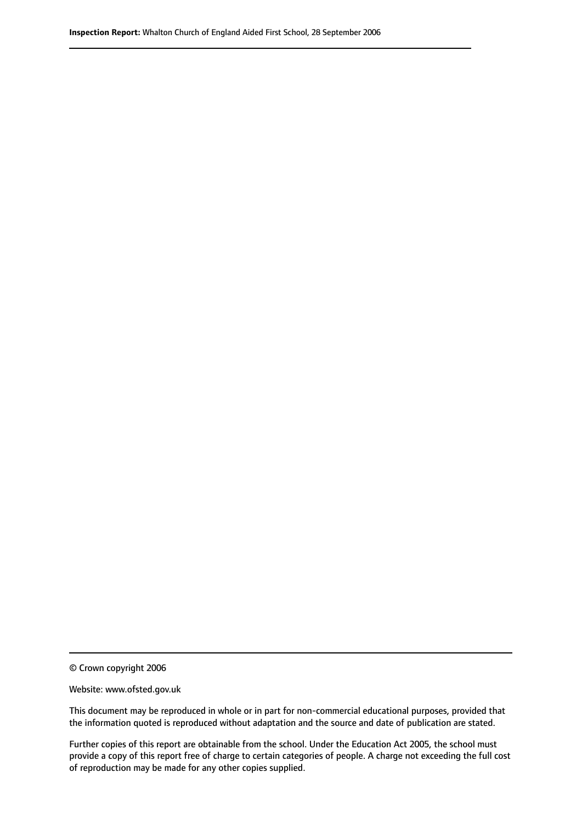© Crown copyright 2006

Website: www.ofsted.gov.uk

This document may be reproduced in whole or in part for non-commercial educational purposes, provided that the information quoted is reproduced without adaptation and the source and date of publication are stated.

Further copies of this report are obtainable from the school. Under the Education Act 2005, the school must provide a copy of this report free of charge to certain categories of people. A charge not exceeding the full cost of reproduction may be made for any other copies supplied.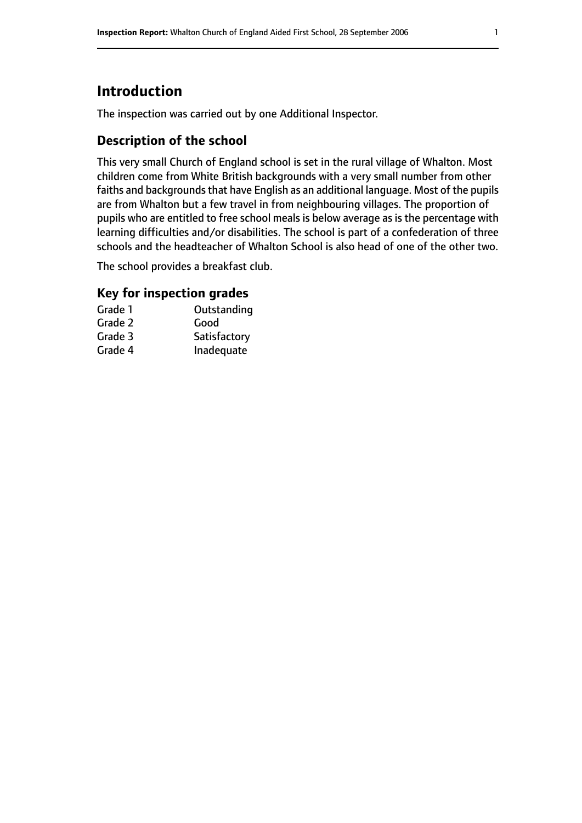# **Introduction**

The inspection was carried out by one Additional Inspector.

## **Description of the school**

This very small Church of England school is set in the rural village of Whalton. Most children come from White British backgrounds with a very small number from other faiths and backgrounds that have English as an additional language. Most of the pupils are from Whalton but a few travel in from neighbouring villages. The proportion of pupils who are entitled to free school meals is below average as is the percentage with learning difficulties and/or disabilities. The school is part of a confederation of three schools and the headteacher of Whalton School is also head of one of the other two.

The school provides a breakfast club.

## **Key for inspection grades**

| Grade 1 | Outstanding  |
|---------|--------------|
| Grade 2 | Good         |
| Grade 3 | Satisfactory |
| Grade 4 | Inadequate   |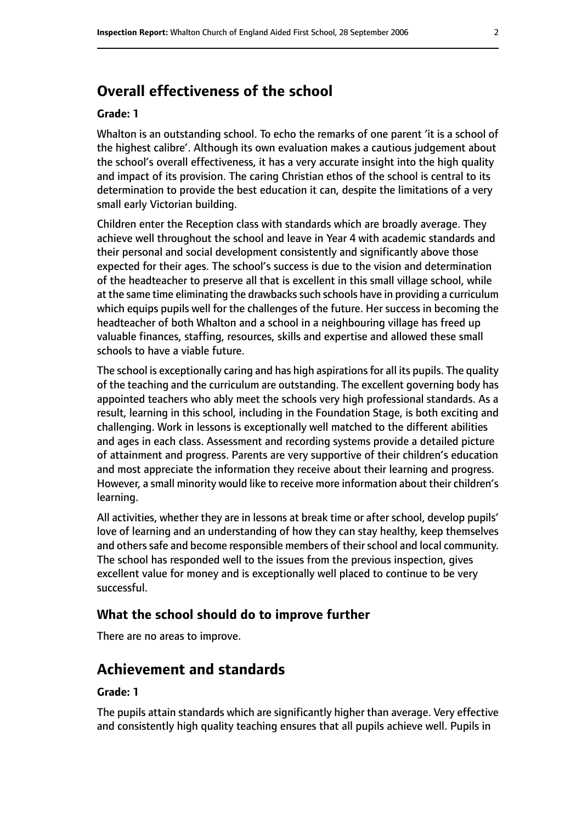# **Overall effectiveness of the school**

#### **Grade: 1**

Whalton is an outstanding school. To echo the remarks of one parent 'it is a school of the highest calibre'. Although its own evaluation makes a cautious judgement about the school's overall effectiveness, it has a very accurate insight into the high quality and impact of its provision. The caring Christian ethos of the school is central to its determination to provide the best education it can, despite the limitations of a very small early Victorian building.

Children enter the Reception class with standards which are broadly average. They achieve well throughout the school and leave in Year 4 with academic standards and their personal and social development consistently and significantly above those expected for their ages. The school's success is due to the vision and determination of the headteacher to preserve all that is excellent in this small village school, while at the same time eliminating the drawbacks such schools have in providing a curriculum which equips pupils well for the challenges of the future. Her success in becoming the headteacher of both Whalton and a school in a neighbouring village has freed up valuable finances, staffing, resources, skills and expertise and allowed these small schools to have a viable future.

The school is exceptionally caring and has high aspirations for all its pupils. The quality of the teaching and the curriculum are outstanding. The excellent governing body has appointed teachers who ably meet the schools very high professional standards. As a result, learning in this school, including in the Foundation Stage, is both exciting and challenging. Work in lessons is exceptionally well matched to the different abilities and ages in each class. Assessment and recording systems provide a detailed picture of attainment and progress. Parents are very supportive of their children's education and most appreciate the information they receive about their learning and progress. However, a small minority would like to receive more information about their children's learning.

All activities, whether they are in lessons at break time or after school, develop pupils' love of learning and an understanding of how they can stay healthy, keep themselves and others safe and become responsible members of their school and local community. The school has responded well to the issues from the previous inspection, gives excellent value for money and is exceptionally well placed to continue to be very successful.

## **What the school should do to improve further**

There are no areas to improve.

# **Achievement and standards**

#### **Grade: 1**

The pupils attain standards which are significantly higher than average. Very effective and consistently high quality teaching ensures that all pupils achieve well. Pupils in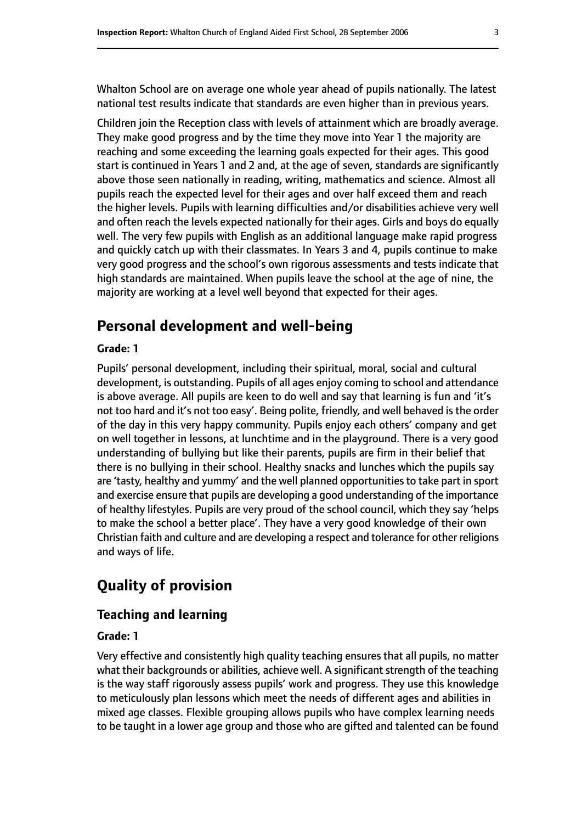Whalton School are on average one whole year ahead of pupils nationally. The latest national test results indicate that standards are even higher than in previous years.

Children join the Reception class with levels of attainment which are broadly average. They make good progress and by the time they move into Year 1 the majority are reaching and some exceeding the learning goals expected for their ages. This good start is continued in Years 1 and 2 and, at the age of seven, standards are significantly above those seen nationally in reading, writing, mathematics and science. Almost all pupils reach the expected level for their ages and over half exceed them and reach the higher levels. Pupils with learning difficulties and/or disabilities achieve very well and often reach the levels expected nationally for their ages. Girls and boys do equally well. The very few pupils with English as an additional language make rapid progress and quickly catch up with their classmates. In Years 3 and 4, pupils continue to make very good progress and the school's own rigorous assessments and tests indicate that high standards are maintained. When pupils leave the school at the age of nine, the majority are working at a level well beyond that expected for their ages.

## **Personal development and well-being**

#### **Grade: 1**

Pupils' personal development, including their spiritual, moral, social and cultural development, is outstanding. Pupils of all ages enjoy coming to school and attendance is above average. All pupils are keen to do well and say that learning is fun and 'it's not too hard and it's not too easy'. Being polite, friendly, and well behaved is the order of the day in this very happy community. Pupils enjoy each others' company and get on well together in lessons, at lunchtime and in the playground. There is a very good understanding of bullying but like their parents, pupils are firm in their belief that there is no bullying in their school. Healthy snacks and lunches which the pupils say are 'tasty, healthy and yummy' and the well planned opportunities to take part in sport and exercise ensure that pupils are developing a good understanding of the importance of healthy lifestyles. Pupils are very proud of the school council, which they say 'helps to make the school a better place'. They have a very good knowledge of their own Christian faith and culture and are developing a respect and tolerance for other religions and ways of life.

## **Quality of provision**

## **Teaching and learning**

#### **Grade: 1**

Very effective and consistently high quality teaching ensures that all pupils, no matter what their backgrounds or abilities, achieve well. A significant strength of the teaching is the way staff rigorously assess pupils' work and progress. They use this knowledge to meticulously plan lessons which meet the needs of different ages and abilities in mixed age classes. Flexible grouping allows pupils who have complex learning needs to be taught in a lower age group and those who are gifted and talented can be found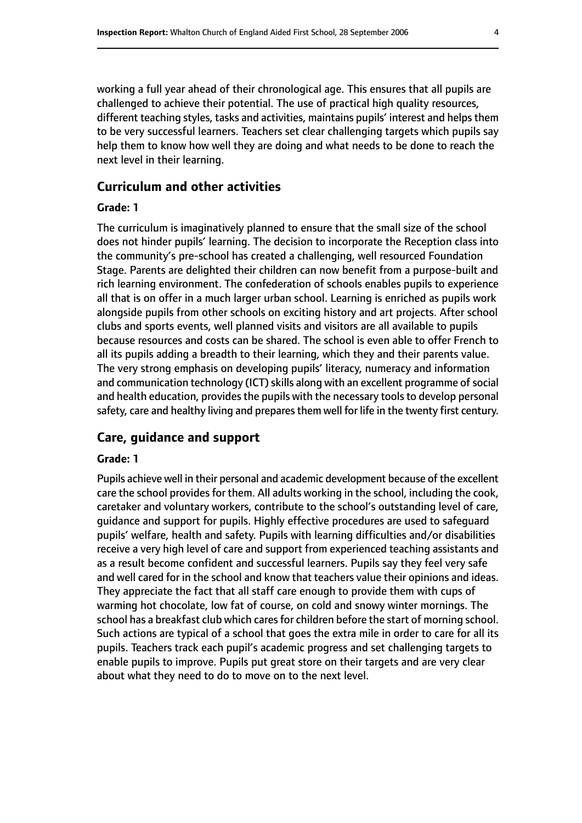working a full year ahead of their chronological age. This ensures that all pupils are challenged to achieve their potential. The use of practical high quality resources, different teaching styles, tasks and activities, maintains pupils' interest and helps them to be very successful learners. Teachers set clear challenging targets which pupils say help them to know how well they are doing and what needs to be done to reach the next level in their learning.

## **Curriculum and other activities**

#### **Grade: 1**

The curriculum is imaginatively planned to ensure that the small size of the school does not hinder pupils' learning. The decision to incorporate the Reception class into the community's pre-school has created a challenging, well resourced Foundation Stage. Parents are delighted their children can now benefit from a purpose-built and rich learning environment. The confederation of schools enables pupils to experience all that is on offer in a much larger urban school. Learning is enriched as pupils work alongside pupils from other schools on exciting history and art projects. After school clubs and sports events, well planned visits and visitors are all available to pupils because resources and costs can be shared. The school is even able to offer French to all its pupils adding a breadth to their learning, which they and their parents value. The very strong emphasis on developing pupils' literacy, numeracy and information and communication technology (ICT) skills along with an excellent programme of social and health education, provides the pupils with the necessary tools to develop personal safety, care and healthy living and prepares them well for life in the twenty first century.

## **Care, guidance and support**

#### **Grade: 1**

Pupils achieve well in their personal and academic development because of the excellent care the school provides for them. All adults working in the school, including the cook, caretaker and voluntary workers, contribute to the school's outstanding level of care, guidance and support for pupils. Highly effective procedures are used to safeguard pupils' welfare, health and safety. Pupils with learning difficulties and/or disabilities receive a very high level of care and support from experienced teaching assistants and as a result become confident and successful learners. Pupils say they feel very safe and well cared for in the school and know that teachers value their opinions and ideas. They appreciate the fact that all staff care enough to provide them with cups of warming hot chocolate, low fat of course, on cold and snowy winter mornings. The school has a breakfast club which cares for children before the start of morning school. Such actions are typical of a school that goes the extra mile in order to care for all its pupils. Teachers track each pupil's academic progress and set challenging targets to enable pupils to improve. Pupils put great store on their targets and are very clear about what they need to do to move on to the next level.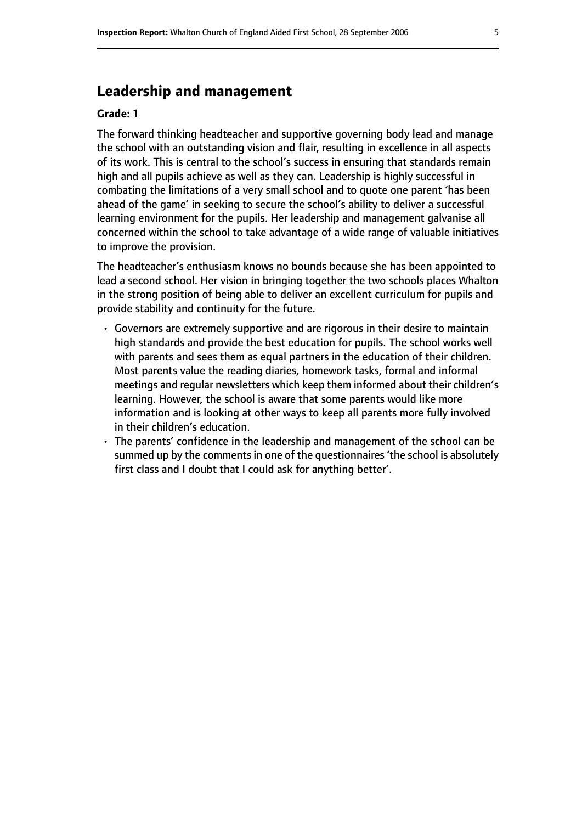# **Leadership and management**

#### **Grade: 1**

The forward thinking headteacher and supportive governing body lead and manage the school with an outstanding vision and flair, resulting in excellence in all aspects of its work. This is central to the school's success in ensuring that standards remain high and all pupils achieve as well as they can. Leadership is highly successful in combating the limitations of a very small school and to quote one parent 'has been ahead of the game' in seeking to secure the school's ability to deliver a successful learning environment for the pupils. Her leadership and management galvanise all concerned within the school to take advantage of a wide range of valuable initiatives to improve the provision.

The headteacher's enthusiasm knows no bounds because she has been appointed to lead a second school. Her vision in bringing together the two schools places Whalton in the strong position of being able to deliver an excellent curriculum for pupils and provide stability and continuity for the future.

- Governors are extremely supportive and are rigorous in their desire to maintain high standards and provide the best education for pupils. The school works well with parents and sees them as equal partners in the education of their children. Most parents value the reading diaries, homework tasks, formal and informal meetings and regular newsletters which keep them informed about their children's learning. However, the school is aware that some parents would like more information and is looking at other ways to keep all parents more fully involved in their children's education.
- The parents' confidence in the leadership and management of the school can be summed up by the comments in one of the questionnaires 'the school is absolutely first class and I doubt that I could ask for anything better'.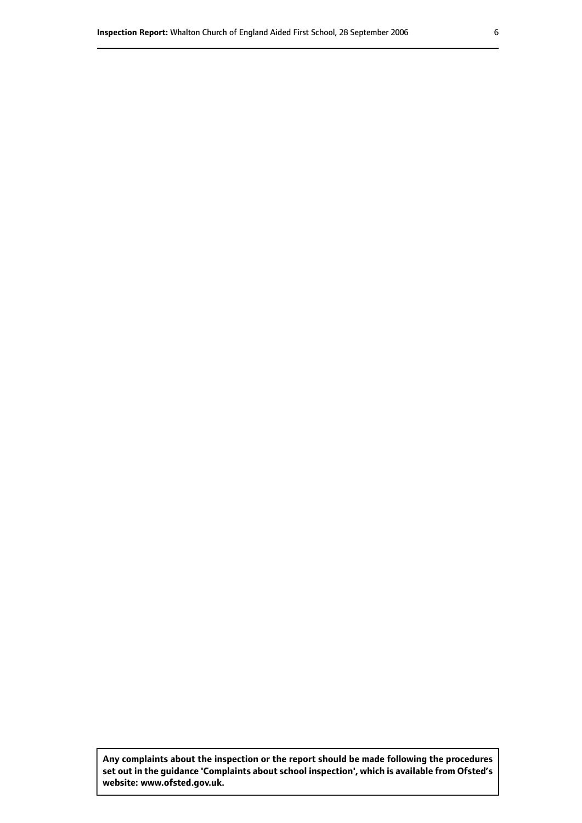**Any complaints about the inspection or the report should be made following the procedures set out inthe guidance 'Complaints about school inspection', whichis available from Ofsted's website: www.ofsted.gov.uk.**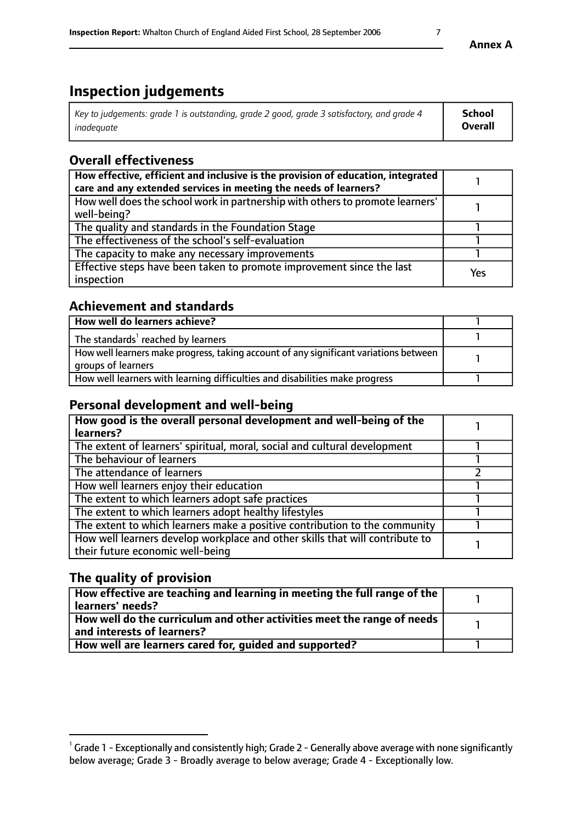# **Inspection judgements**

| Key to judgements: grade 1 is outstanding, grade 2 good, grade 3 satisfactory, and grade 4 | <b>School</b>  |
|--------------------------------------------------------------------------------------------|----------------|
| inadeauate                                                                                 | <b>Overall</b> |

## **Overall effectiveness**

| How effective, efficient and inclusive is the provision of education, integrated<br>care and any extended services in meeting the needs of learners? |     |
|------------------------------------------------------------------------------------------------------------------------------------------------------|-----|
| How well does the school work in partnership with others to promote learners'<br>well-being?                                                         |     |
| The quality and standards in the Foundation Stage                                                                                                    |     |
| The effectiveness of the school's self-evaluation                                                                                                    |     |
| The capacity to make any necessary improvements                                                                                                      |     |
| Effective steps have been taken to promote improvement since the last<br>inspection                                                                  | Yes |

## **Achievement and standards**

| How well do learners achieve?                                                                               |  |
|-------------------------------------------------------------------------------------------------------------|--|
| The standards <sup>1</sup> reached by learners                                                              |  |
| How well learners make progress, taking account of any significant variations between<br>groups of learners |  |
| How well learners with learning difficulties and disabilities make progress                                 |  |

## **Personal development and well-being**

| How good is the overall personal development and well-being of the<br>learners?                                  |  |
|------------------------------------------------------------------------------------------------------------------|--|
| The extent of learners' spiritual, moral, social and cultural development                                        |  |
| The behaviour of learners                                                                                        |  |
| The attendance of learners                                                                                       |  |
| How well learners enjoy their education                                                                          |  |
| The extent to which learners adopt safe practices                                                                |  |
| The extent to which learners adopt healthy lifestyles                                                            |  |
| The extent to which learners make a positive contribution to the community                                       |  |
| How well learners develop workplace and other skills that will contribute to<br>their future economic well-being |  |

## **The quality of provision**

| How effective are teaching and learning in meeting the full range of the<br>  learners' needs?                      |  |
|---------------------------------------------------------------------------------------------------------------------|--|
| $\mid$ How well do the curriculum and other activities meet the range of needs<br>$\mid$ and interests of learners? |  |
| How well are learners cared for, guided and supported?                                                              |  |

 $^1$  Grade 1 - Exceptionally and consistently high; Grade 2 - Generally above average with none significantly below average; Grade 3 - Broadly average to below average; Grade 4 - Exceptionally low.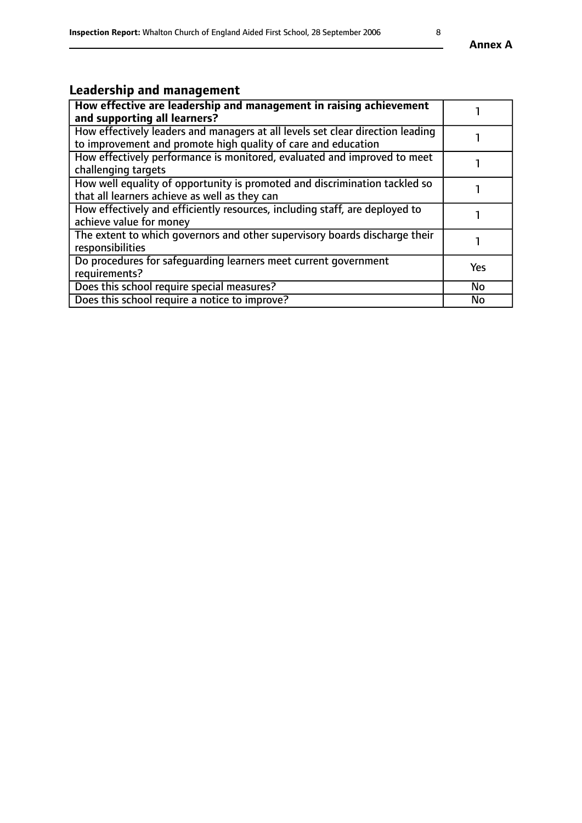# **Leadership and management**

| How effective are leadership and management in raising achievement             |           |
|--------------------------------------------------------------------------------|-----------|
| and supporting all learners?                                                   |           |
| How effectively leaders and managers at all levels set clear direction leading |           |
| to improvement and promote high quality of care and education                  |           |
| How effectively performance is monitored, evaluated and improved to meet       |           |
| challenging targets                                                            |           |
| How well equality of opportunity is promoted and discrimination tackled so     |           |
| that all learners achieve as well as they can                                  |           |
| How effectively and efficiently resources, including staff, are deployed to    |           |
| achieve value for money                                                        |           |
| The extent to which governors and other supervisory boards discharge their     |           |
| responsibilities                                                               |           |
| Do procedures for safequarding learners meet current government                | Yes       |
| requirements?                                                                  |           |
| Does this school require special measures?                                     | No        |
| Does this school require a notice to improve?                                  | <b>No</b> |